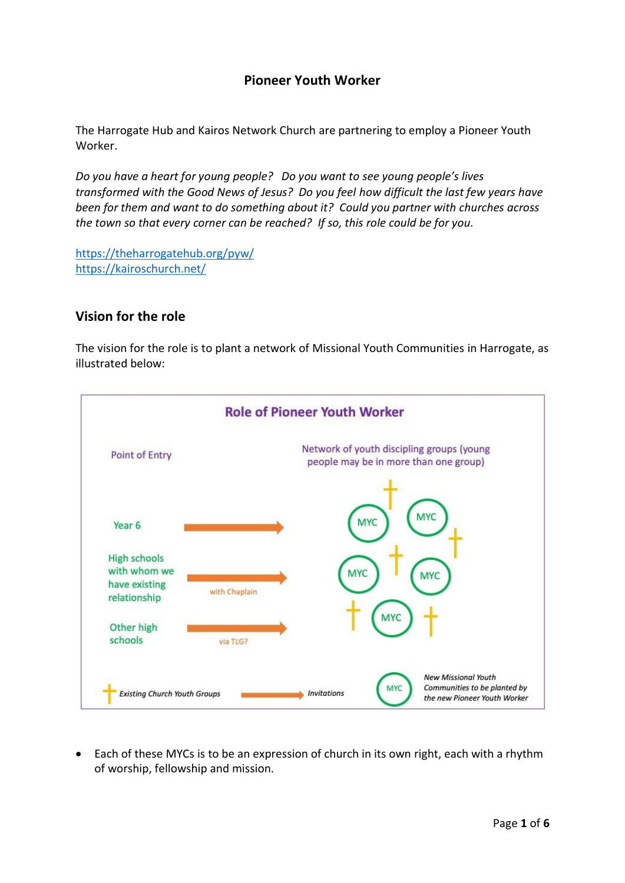## **Pioneer Youth Worker**

The Harrogate Hub and Kairos Network Church are partnering to employ a Pioneer Youth Worker.

*Do you have a heart for young people? Do you want to see young people's lives transformed with the Good News of Jesus? Do you feel how difficult the last few years have been for them and want to do something about it? Could you partner with churches across the town so that every corner can be reached? If so, this role could be for you.* 

<https://theharrogatehub.org/pyw/> <https://kairoschurch.net/>

## **Vision for the role**

The vision for the role is to plant a network of Missional Youth Communities in Harrogate, as illustrated below:



• Each of these MYCs is to be an expression of church in its own right, each with a rhythm of worship, fellowship and mission.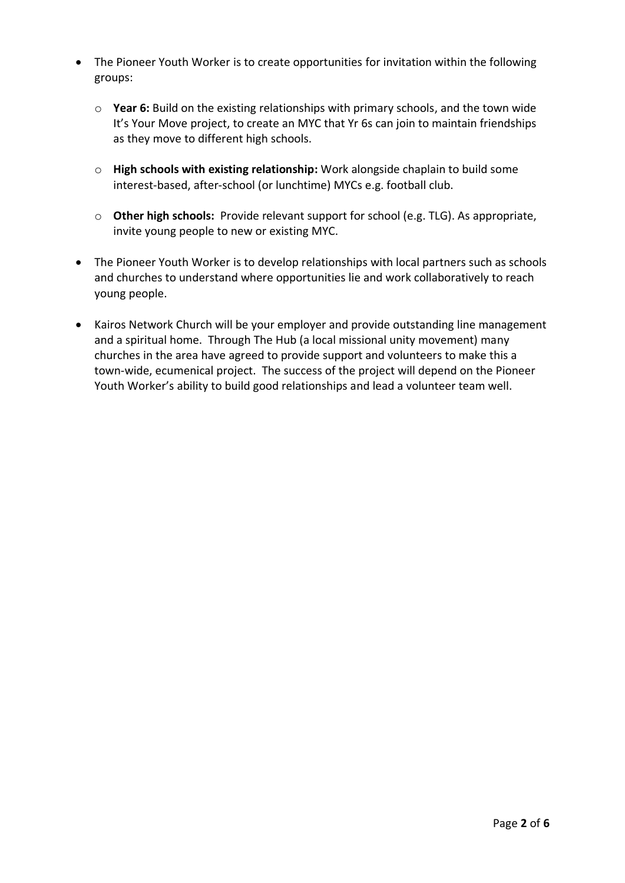- The Pioneer Youth Worker is to create opportunities for invitation within the following groups:
	- o **Year 6:** Build on the existing relationships with primary schools, and the town wide It's Your Move project, to create an MYC that Yr 6s can join to maintain friendships as they move to different high schools.
	- o **High schools with existing relationship:** Work alongside chaplain to build some interest-based, after-school (or lunchtime) MYCs e.g. football club.
	- o **Other high schools:** Provide relevant support for school (e.g. TLG). As appropriate, invite young people to new or existing MYC.
- The Pioneer Youth Worker is to develop relationships with local partners such as schools and churches to understand where opportunities lie and work collaboratively to reach young people.
- Kairos Network Church will be your employer and provide outstanding line management and a spiritual home. Through The Hub (a local missional unity movement) many churches in the area have agreed to provide support and volunteers to make this a town-wide, ecumenical project. The success of the project will depend on the Pioneer Youth Worker's ability to build good relationships and lead a volunteer team well.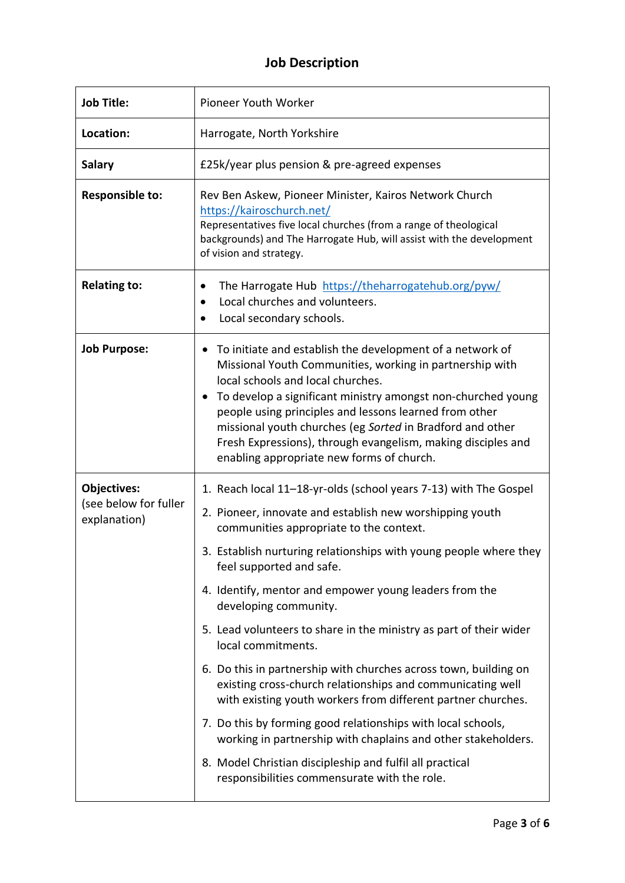# **Job Description**

| <b>Job Title:</b>                                           | Pioneer Youth Worker                                                                                                                                                                                                                                                                                                                                                                                                                                                                                                                                                                                                                                                                                                                                                                                                                                                                                   |
|-------------------------------------------------------------|--------------------------------------------------------------------------------------------------------------------------------------------------------------------------------------------------------------------------------------------------------------------------------------------------------------------------------------------------------------------------------------------------------------------------------------------------------------------------------------------------------------------------------------------------------------------------------------------------------------------------------------------------------------------------------------------------------------------------------------------------------------------------------------------------------------------------------------------------------------------------------------------------------|
| Location:                                                   | Harrogate, North Yorkshire                                                                                                                                                                                                                                                                                                                                                                                                                                                                                                                                                                                                                                                                                                                                                                                                                                                                             |
| <b>Salary</b>                                               | £25k/year plus pension & pre-agreed expenses                                                                                                                                                                                                                                                                                                                                                                                                                                                                                                                                                                                                                                                                                                                                                                                                                                                           |
| <b>Responsible to:</b>                                      | Rev Ben Askew, Pioneer Minister, Kairos Network Church<br>https://kairoschurch.net/<br>Representatives five local churches (from a range of theological<br>backgrounds) and The Harrogate Hub, will assist with the development<br>of vision and strategy.                                                                                                                                                                                                                                                                                                                                                                                                                                                                                                                                                                                                                                             |
| <b>Relating to:</b>                                         | The Harrogate Hub https://theharrogatehub.org/pyw/<br>٠<br>Local churches and volunteers.<br>$\bullet$<br>Local secondary schools.<br>$\bullet$                                                                                                                                                                                                                                                                                                                                                                                                                                                                                                                                                                                                                                                                                                                                                        |
| <b>Job Purpose:</b>                                         | To initiate and establish the development of a network of<br>٠<br>Missional Youth Communities, working in partnership with<br>local schools and local churches.<br>To develop a significant ministry amongst non-churched young<br>٠<br>people using principles and lessons learned from other<br>missional youth churches (eg Sorted in Bradford and other<br>Fresh Expressions), through evangelism, making disciples and<br>enabling appropriate new forms of church.                                                                                                                                                                                                                                                                                                                                                                                                                               |
| <b>Objectives:</b><br>(see below for fuller<br>explanation) | 1. Reach local 11-18-yr-olds (school years 7-13) with The Gospel<br>2. Pioneer, innovate and establish new worshipping youth<br>communities appropriate to the context.<br>3. Establish nurturing relationships with young people where they<br>feel supported and safe.<br>4. Identify, mentor and empower young leaders from the<br>developing community.<br>5. Lead volunteers to share in the ministry as part of their wider<br>local commitments.<br>6. Do this in partnership with churches across town, building on<br>existing cross-church relationships and communicating well<br>with existing youth workers from different partner churches.<br>7. Do this by forming good relationships with local schools,<br>working in partnership with chaplains and other stakeholders.<br>8. Model Christian discipleship and fulfil all practical<br>responsibilities commensurate with the role. |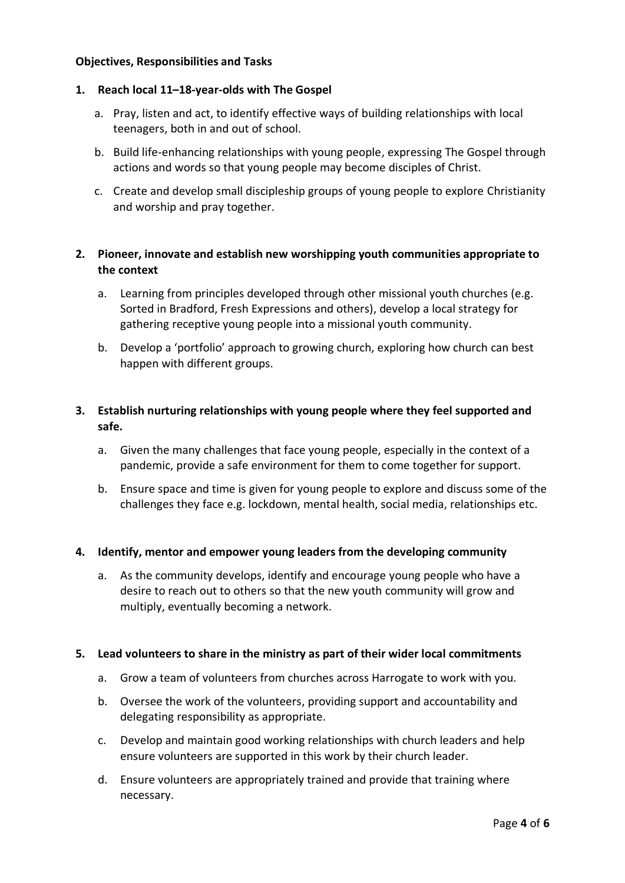#### **Objectives, Responsibilities and Tasks**

#### **1. Reach local 11–18-year-olds with The Gospel**

- a. Pray, listen and act, to identify effective ways of building relationships with local teenagers, both in and out of school.
- b. Build life-enhancing relationships with young people, expressing The Gospel through actions and words so that young people may become disciples of Christ.
- c. Create and develop small discipleship groups of young people to explore Christianity and worship and pray together.

## **2. Pioneer, innovate and establish new worshipping youth communities appropriate to the context**

- a. Learning from principles developed through other missional youth churches (e.g. Sorted in Bradford, Fresh Expressions and others), develop a local strategy for gathering receptive young people into a missional youth community.
- b. Develop a 'portfolio' approach to growing church, exploring how church can best happen with different groups.

### **3. Establish nurturing relationships with young people where they feel supported and safe.**

- a. Given the many challenges that face young people, especially in the context of a pandemic, provide a safe environment for them to come together for support.
- b. Ensure space and time is given for young people to explore and discuss some of the challenges they face e.g. lockdown, mental health, social media, relationships etc.

#### **4. Identify, mentor and empower young leaders from the developing community**

a. As the community develops, identify and encourage young people who have a desire to reach out to others so that the new youth community will grow and multiply, eventually becoming a network.

#### **5. Lead volunteers to share in the ministry as part of their wider local commitments**

- a. Grow a team of volunteers from churches across Harrogate to work with you.
- b. Oversee the work of the volunteers, providing support and accountability and delegating responsibility as appropriate.
- c. Develop and maintain good working relationships with church leaders and help ensure volunteers are supported in this work by their church leader.
- d. Ensure volunteers are appropriately trained and provide that training where necessary.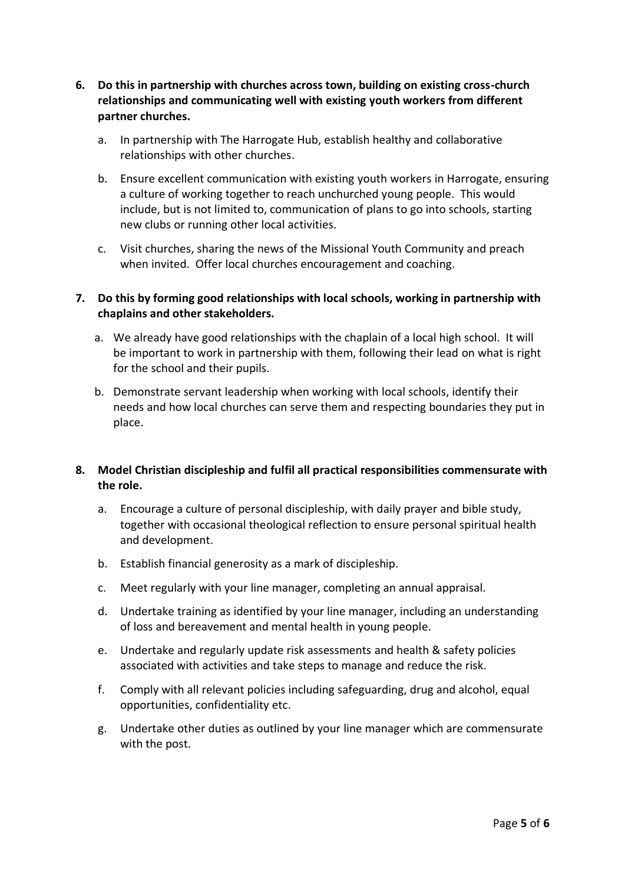- **6. Do this in partnership with churches across town, building on existing cross-church relationships and communicating well with existing youth workers from different partner churches.**
	- a. In partnership with The Harrogate Hub, establish healthy and collaborative relationships with other churches.
	- b. Ensure excellent communication with existing youth workers in Harrogate, ensuring a culture of working together to reach unchurched young people. This would include, but is not limited to, communication of plans to go into schools, starting new clubs or running other local activities.
	- c. Visit churches, sharing the news of the Missional Youth Community and preach when invited. Offer local churches encouragement and coaching.

#### **7. Do this by forming good relationships with local schools, working in partnership with chaplains and other stakeholders.**

- a. We already have good relationships with the chaplain of a local high school. It will be important to work in partnership with them, following their lead on what is right for the school and their pupils.
- b. Demonstrate servant leadership when working with local schools, identify their needs and how local churches can serve them and respecting boundaries they put in place.

## **8. Model Christian discipleship and fulfil all practical responsibilities commensurate with the role.**

- a. Encourage a culture of personal discipleship, with daily prayer and bible study, together with occasional theological reflection to ensure personal spiritual health and development.
- b. Establish financial generosity as a mark of discipleship.
- c. Meet regularly with your line manager, completing an annual appraisal.
- d. Undertake training as identified by your line manager, including an understanding of loss and bereavement and mental health in young people.
- e. Undertake and regularly update risk assessments and health & safety policies associated with activities and take steps to manage and reduce the risk.
- f. Comply with all relevant policies including safeguarding, drug and alcohol, equal opportunities, confidentiality etc.
- g. Undertake other duties as outlined by your line manager which are commensurate with the post.